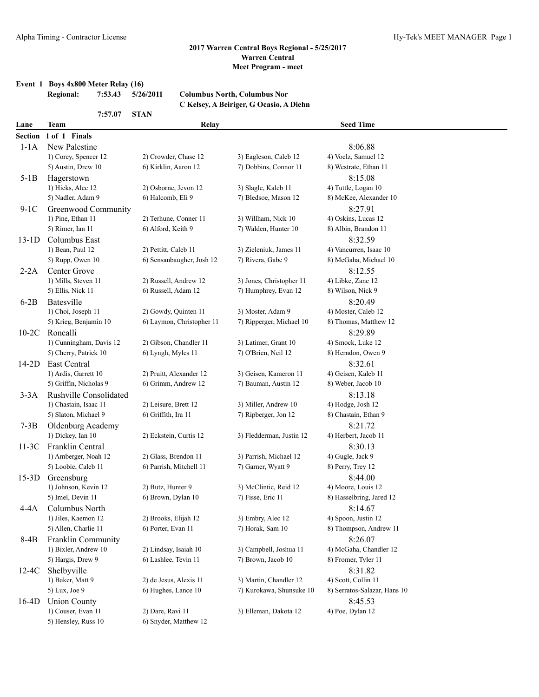### **Event 1 Boys 4x800 Meter Relay (16)**

| Regional: | 7:53.43 5/26/2011 | <b>Columbus North, Columbus Nor</b> |
|-----------|-------------------|-------------------------------------|
|           |                   |                                     |

**7:57.07 STAN**

# **C Kelsey, A Beiriger, G Ocasio, A Diehn**

| Lane           | <b>Team</b>                               | Relay                                         |                                                    | <b>Seed Time</b>             |
|----------------|-------------------------------------------|-----------------------------------------------|----------------------------------------------------|------------------------------|
| <b>Section</b> | 1 of 1 Finals                             |                                               |                                                    |                              |
| $1-1A$         | New Palestine                             |                                               |                                                    | 8:06.88                      |
|                | 1) Corey, Spencer 12                      | 2) Crowder, Chase 12                          | 3) Eagleson, Caleb 12                              | 4) Voelz, Samuel 12          |
|                | 5) Austin, Drew 10                        | 6) Kirklin, Aaron 12                          | 7) Dobbins, Connor 11                              | 8) Westrate, Ethan 11        |
| $5-1B$         | Hagerstown                                |                                               |                                                    | 8:15.08                      |
|                | 1) Hicks, Alec 12                         | 2) Osborne, Jevon 12                          | 3) Slagle, Kaleb 11                                | 4) Tuttle, Logan 10          |
|                | 5) Nadler, Adam 9                         | 6) Halcomb, Eli 9                             | 7) Bledsoe, Mason 12                               | 8) McKee, Alexander 10       |
| $9-1C$         | Greenwood Community                       |                                               |                                                    | 8:27.91                      |
|                | 1) Pine, Ethan 11                         | 2) Terhune, Conner 11                         | 3) Willham, Nick 10                                | 4) Oskins, Lucas 12          |
|                | 5) Rimer, Ian 11                          | 6) Alford, Keith 9                            | 7) Walden, Hunter 10                               | 8) Albin, Brandon 11         |
| $13-1D$        | Columbus East                             |                                               |                                                    | 8:32.59                      |
|                | 1) Bean, Paul 12                          | 2) Pettitt, Caleb 11                          | 3) Zieleniuk, James 11                             | 4) Vancurren, Isaac 10       |
|                | 5) Rupp, Owen 10                          | 6) Sensanbaugher, Josh 12                     | 7) Rivera, Gabe 9                                  | 8) McGaha, Michael 10        |
| $2-2A$         | Center Grove                              |                                               |                                                    | 8:12.55                      |
|                | 1) Mills, Steven 11                       | 2) Russell, Andrew 12                         | 3) Jones, Christopher 11                           | 4) Libke, Zane 12            |
|                | 5) Ellis, Nick 11                         | 6) Russell, Adam 12                           | 7) Humphrey, Evan 12                               | 8) Wilson, Nick 9            |
| $6-2B$         | Batesville                                |                                               |                                                    | 8:20.49                      |
|                | 1) Choi, Joseph 11                        | 2) Gowdy, Quinten 11                          | 3) Moster, Adam 9                                  | 4) Moster, Caleb 12          |
|                | 5) Krieg, Benjamin 10                     | 6) Laymon, Christopher 11                     | 7) Ripperger, Michael 10                           | 8) Thomas, Matthew 12        |
| $10-2C$        | Roncalli                                  |                                               |                                                    | 8:29.89                      |
|                | 1) Cunningham, Davis 12                   | 2) Gibson, Chandler 11                        | 3) Latimer, Grant 10                               | 4) Smock, Luke 12            |
|                | 5) Cherry, Patrick 10                     | 6) Lyngh, Myles 11                            | 7) O'Brien, Neil 12                                | 8) Herndon, Owen 9           |
| $14-2D$        | East Central                              |                                               |                                                    | 8:32.61                      |
|                | 1) Ardis, Garrett 10                      | 2) Pruitt, Alexander 12                       | 3) Geisen, Kameron 11                              | 4) Geisen, Kaleb 11          |
|                | 5) Griffin, Nicholas 9                    | 6) Grimm, Andrew 12                           | 7) Bauman, Austin 12                               | 8) Weber, Jacob 10           |
| $3-3A$         | Rushville Consolidated                    |                                               |                                                    | 8:13.18                      |
|                | 1) Chastain, Isaac 11                     | 2) Leisure, Brett 12                          | 3) Miller, Andrew 10                               | 4) Hodge, Josh 12            |
|                | 5) Slaton, Michael 9                      | 6) Griffith, Ira 11                           | 7) Ripberger, Jon 12                               | 8) Chastain, Ethan 9         |
| $7-3B$         | Oldenburg Academy                         |                                               |                                                    | 8:21.72                      |
|                | 1) Dickey, Ian 10                         | 2) Eckstein, Curtis 12                        | 3) Fledderman, Justin 12                           | 4) Herbert, Jacob 11         |
| $11-3C$        | Franklin Central                          |                                               |                                                    | 8:30.13                      |
|                | 1) Amberger, Noah 12                      | 2) Glass, Brendon 11                          | 3) Parrish, Michael 12                             | 4) Gugle, Jack 9             |
|                | 5) Loobie, Caleb 11                       | 6) Parrish, Mitchell 11                       | 7) Garner, Wyatt 9                                 | 8) Perry, Trey 12            |
| $15-3D$        | Greensburg                                |                                               |                                                    | 8:44.00                      |
|                | 1) Johnson, Kevin 12                      | 2) Butz, Hunter 9                             | 3) McClintic, Reid 12                              | 4) Moore, Louis 12           |
|                | 5) Imel, Devin 11                         | 6) Brown, Dylan 10                            | 7) Fisse, Eric 11                                  | 8) Hasselbring, Jared 12     |
| $4-4A$         | Columbus North                            |                                               |                                                    | 8:14.67                      |
|                | 1) Jiles, Kaemon 12                       | 2) Brooks, Elijah 12                          | 3) Embry, Alec 12                                  | 4) Spoon, Justin 12          |
|                | 5) Allen, Charlie 11                      | 6) Porter, Evan 11                            | 7) Horak, Sam 10                                   | 8) Thompson, Andrew 11       |
| $8-4B$         | Franklin Community                        |                                               |                                                    | 8:26.07                      |
|                | 1) Bixler, Andrew 10                      | 2) Lindsay, Isaiah 10<br>6) Lashlee, Tevin 11 | 3) Campbell, Joshua 11                             | 4) McGaha, Chandler 12       |
|                | 5) Hargis, Drew 9                         |                                               | 7) Brown, Jacob 10                                 | 8) Fromer, Tyler 11          |
| $12-4C$        | Shelbyville                               |                                               |                                                    | 8:31.82                      |
|                | 1) Baker, Matt 9                          | 2) de Jesus, Alexis 11<br>6) Hughes, Lance 10 | 3) Martin, Chandler 12<br>7) Kurokawa, Shunsuke 10 | 4) Scott, Collin 11          |
|                | 5) Lux, Joe 9                             |                                               |                                                    | 8) Serratos-Salazar, Hans 10 |
| $16-4D$        | <b>Union County</b><br>1) Couser, Evan 11 | 2) Dare, Ravi 11                              | 3) Elleman, Dakota 12                              | 8:45.53<br>4) Poe, Dylan 12  |
|                | 5) Hensley, Russ 10                       | 6) Snyder, Matthew 12                         |                                                    |                              |
|                |                                           |                                               |                                                    |                              |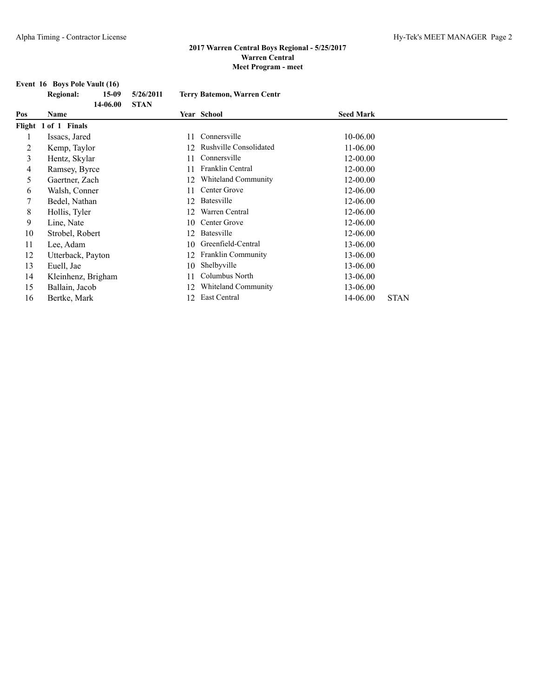# **Event 16 Boys Pole Vault (16)**<br>Regional: 15-09

|     | <b>Regional:</b><br>$15-09$ | 5/26/2011   |    | <b>Terry Batemon, Warren Centr</b> |                  |             |
|-----|-----------------------------|-------------|----|------------------------------------|------------------|-------------|
| Pos | 14-06.00<br>Name            | <b>STAN</b> |    | Year School                        | <b>Seed Mark</b> |             |
|     | Flight 1 of 1 Finals        |             |    |                                    |                  |             |
|     | Issacs, Jared               |             | 11 | Connersville                       | 10-06.00         |             |
| 2   | Kemp, Taylor                |             |    | <b>Rushville Consolidated</b>      | 11-06.00         |             |
| 3   | Hentz, Skylar               |             |    | Connersville                       | 12-00.00         |             |
| 4   | Ramsey, Byrce               |             |    | Franklin Central                   | 12-00.00         |             |
| 5   | Gaertner, Zach              |             | 12 | Whiteland Community                | 12-00.00         |             |
| 6   | Walsh, Conner               |             | 11 | Center Grove                       | 12-06.00         |             |
|     | Bedel, Nathan               |             | 12 | Batesville                         | 12-06.00         |             |
| 8   | Hollis, Tyler               |             | 12 | Warren Central                     | 12-06.00         |             |
| 9.  | Line, Nate                  |             | 10 | Center Grove                       | 12-06.00         |             |
| 10  | Strobel, Robert             |             | 12 | Batesville                         | 12-06.00         |             |
| 11  | Lee, Adam                   |             | 10 | Greenfield-Central                 | 13-06.00         |             |
| 12  | Utterback, Payton           |             | 12 | <b>Franklin Community</b>          | 13-06.00         |             |
| 13  | Euell, Jae                  |             | 10 | Shelbyville                        | 13-06.00         |             |
| 14  | Kleinhenz, Brigham          |             |    | Columbus North                     | 13-06.00         |             |
| 15  | Ballain, Jacob              |             | 12 | Whiteland Community                | 13-06.00         |             |
| 16  | Bertke, Mark                |             | 12 | East Central                       | 14-06.00         | <b>STAN</b> |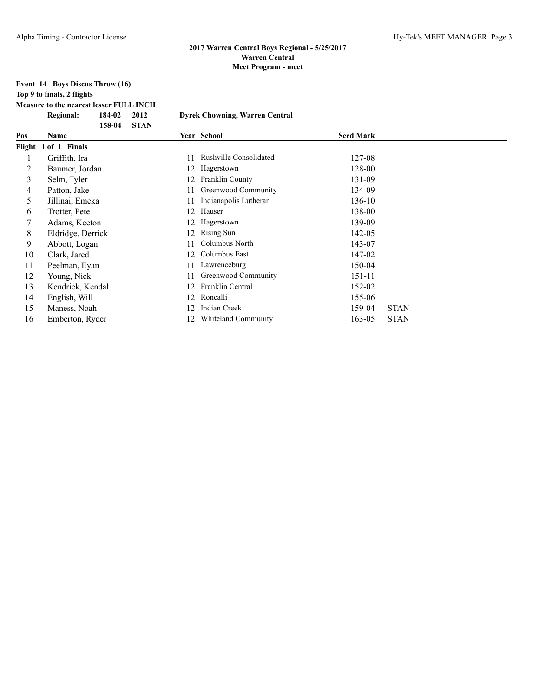## **Event 14 Boys Discus Throw (16) Top 9 to finals, 2 flights**

**Measure to the nearest lesser FULL INCH**

|     | <b>Regional:</b>     | 184-02 | 2012        |     | <b>Dyrek Chowning, Warren Central</b> |                  |             |
|-----|----------------------|--------|-------------|-----|---------------------------------------|------------------|-------------|
| Pos | Name                 | 158-04 | <b>STAN</b> |     | Year School                           | <b>Seed Mark</b> |             |
|     | Flight 1 of 1 Finals |        |             |     |                                       |                  |             |
| 1   | Griffith, Ira        |        |             | 11  | Rushville Consolidated                | 127-08           |             |
| 2   | Baumer, Jordan       |        |             | 12  | Hagerstown                            | 128-00           |             |
| 3   | Selm, Tyler          |        |             | 12  | <b>Franklin County</b>                | 131-09           |             |
| 4   | Patton, Jake         |        |             | 11  | Greenwood Community                   | 134-09           |             |
| 5   | Jillinai, Emeka      |        |             | 11  | Indianapolis Lutheran                 | 136-10           |             |
| 6   | Trotter, Pete        |        |             | 12  | Hauser                                | 138-00           |             |
| 7   | Adams, Keeton        |        |             | 12. | Hagerstown                            | 139-09           |             |
| 8   | Eldridge, Derrick    |        |             | 12  | <b>Rising Sun</b>                     | 142-05           |             |
| 9   | Abbott, Logan        |        |             | 11  | Columbus North                        | 143-07           |             |
| 10  | Clark, Jared         |        |             | 12  | Columbus East                         | 147-02           |             |
| 11  | Peelman, Eyan        |        |             |     | Lawrenceburg                          | 150-04           |             |
| 12  | Young, Nick          |        |             | 11  | Greenwood Community                   | 151-11           |             |
| 13  | Kendrick, Kendal     |        |             | 12  | Franklin Central                      | 152-02           |             |
| 14  | English, Will        |        |             | 12  | Roncalli                              | 155-06           |             |
| 15  | Maness, Noah         |        |             | 12  | <b>Indian Creek</b>                   | 159-04           | <b>STAN</b> |
| 16  | Emberton, Ryder      |        |             | 12  | Whiteland Community                   | 163-05           | <b>STAN</b> |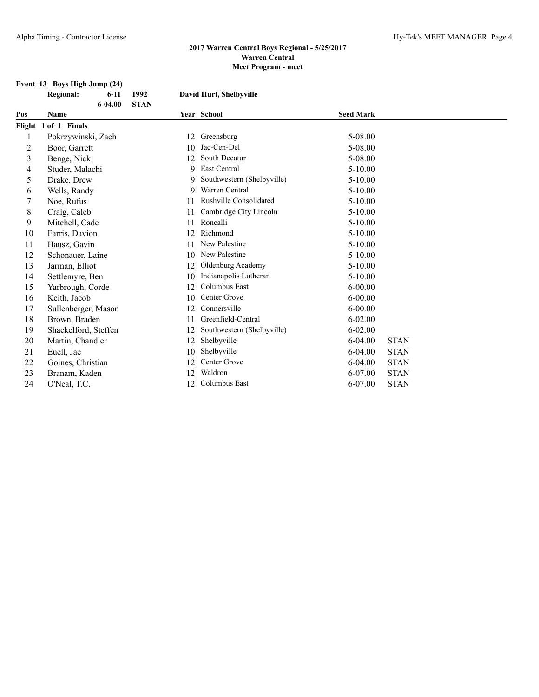#### **Event 13 Boys High Jump (24)**

|                | <b>Regional:</b>     | $6-11$      | 1992        | David Hurt, Shelbyville       |                  |             |  |
|----------------|----------------------|-------------|-------------|-------------------------------|------------------|-------------|--|
| Pos            | Name                 | $6 - 04.00$ | <b>STAN</b> | Year School                   | <b>Seed Mark</b> |             |  |
|                | Flight 1 of 1 Finals |             |             |                               |                  |             |  |
| 1              | Pokrzywinski, Zach   |             | 12          | Greensburg                    | 5-08.00          |             |  |
| $\overline{2}$ | Boor, Garrett        |             | 10          | Jac-Cen-Del                   | 5-08.00          |             |  |
| 3              | Benge, Nick          |             | 12          | <b>South Decatur</b>          | 5-08.00          |             |  |
| 4              | Studer, Malachi      |             | 9           | <b>East Central</b>           | $5 - 10.00$      |             |  |
| 5              | Drake, Drew          |             | 9           | Southwestern (Shelbyville)    | $5 - 10.00$      |             |  |
| 6              | Wells, Randy         |             | 9           | Warren Central                | 5-10.00          |             |  |
| 7              | Noe, Rufus           |             | 11          | <b>Rushville Consolidated</b> | $5 - 10.00$      |             |  |
| 8              | Craig, Caleb         |             | 11          | Cambridge City Lincoln        | $5 - 10.00$      |             |  |
| 9              | Mitchell, Cade       |             | 11          | Roncalli                      | $5 - 10.00$      |             |  |
| 10             | Farris, Davion       |             | 12          | Richmond                      | $5 - 10.00$      |             |  |
| 11             | Hausz, Gavin         |             | 11          | New Palestine                 | $5 - 10.00$      |             |  |
| 12             | Schonauer, Laine     |             | 10          | New Palestine                 | 5-10.00          |             |  |
| 13             | Jarman, Elliot       |             | 12          | Oldenburg Academy             | $5 - 10.00$      |             |  |
| 14             | Settlemyre, Ben      |             | 10          | Indianapolis Lutheran         | $5 - 10.00$      |             |  |
| 15             | Yarbrough, Corde     |             | 12          | Columbus East                 | $6 - 00.00$      |             |  |
| 16             | Keith, Jacob         |             | 10          | Center Grove                  | $6 - 00.00$      |             |  |
| 17             | Sullenberger, Mason  |             | 12          | Connersville                  | $6 - 00.00$      |             |  |
| 18             | Brown, Braden        |             | 11          | Greenfield-Central            | $6 - 02.00$      |             |  |
| 19             | Shackelford, Steffen |             | 12          | Southwestern (Shelbyville)    | $6 - 02.00$      |             |  |
| 20             | Martin, Chandler     |             | 12          | Shelbyville                   | $6 - 04.00$      | <b>STAN</b> |  |
| 21             | Euell, Jae           |             | 10          | Shelbyville                   | $6 - 04.00$      | <b>STAN</b> |  |
| 22             | Goines, Christian    |             | 12          | Center Grove                  | $6 - 04.00$      | <b>STAN</b> |  |
| 23             | Branam, Kaden        |             | 12          | Waldron                       | 6-07.00          | <b>STAN</b> |  |
| 24             | O'Neal, T.C.         |             | 12          | Columbus East                 | $6 - 07.00$      | <b>STAN</b> |  |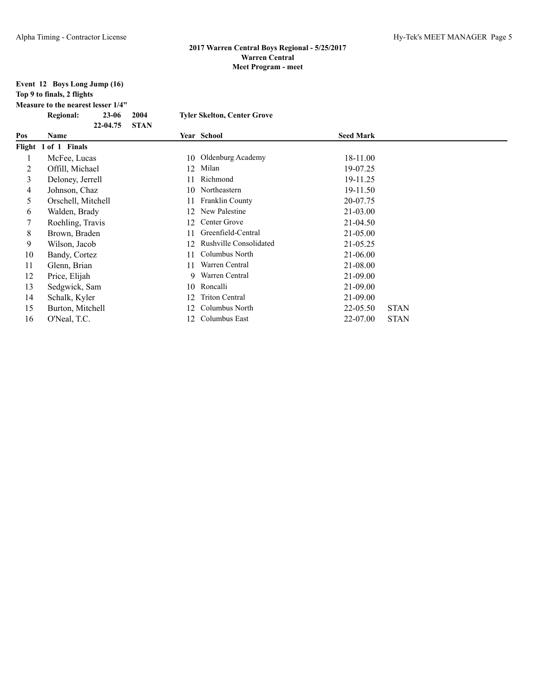| Event 12 Boys Long Jump (16) |
|------------------------------|
| Top 9 to finals, 2 flights   |

**Measure to the nearest lesser 1/4"**

|     | <b>Regional:</b>     | $23 - 06$ | 2004        |     | <b>Tyler Skelton, Center Grove</b> |                  |             |
|-----|----------------------|-----------|-------------|-----|------------------------------------|------------------|-------------|
| Pos | Name                 | 22-04.75  | <b>STAN</b> |     | Year School                        | <b>Seed Mark</b> |             |
|     | Flight 1 of 1 Finals |           |             |     |                                    |                  |             |
| 1   | McFee, Lucas         |           |             | 10  | Oldenburg Academy                  | 18-11.00         |             |
| 2   | Offill, Michael      |           |             | 12  | Milan                              | 19-07.25         |             |
| 3   | Deloney, Jerrell     |           |             |     | Richmond                           | 19-11.25         |             |
| 4   | Johnson, Chaz        |           |             |     | 10 Northeastern                    | 19-11.50         |             |
| 5   | Orschell, Mitchell   |           |             | 11. | Franklin County                    | 20-07.75         |             |
| 6   | Walden, Brady        |           |             | 12  | New Palestine                      | 21-03.00         |             |
| 7   | Roehling, Travis     |           |             | 12. | Center Grove                       | 21-04.50         |             |
| 8   | Brown, Braden        |           |             |     | Greenfield-Central                 | 21-05.00         |             |
| 9   | Wilson, Jacob        |           |             | 12. | <b>Rushville Consolidated</b>      | 21-05.25         |             |
| 10  | Bandy, Cortez        |           |             | 11  | Columbus North                     | 21-06.00         |             |
| 11  | Glenn, Brian         |           |             | 11  | Warren Central                     | 21-08.00         |             |
| 12  | Price, Elijah        |           |             |     | 9 Warren Central                   | 21-09.00         |             |
| 13  | Sedgwick, Sam        |           |             |     | 10 Roncalli                        | 21-09.00         |             |
| 14  | Schalk, Kyler        |           |             | 12. | <b>Triton Central</b>              | 21-09.00         |             |
| 15  | Burton, Mitchell     |           |             | 12. | Columbus North                     | 22-05.50         | <b>STAN</b> |
| 16  | O'Neal, T.C.         |           |             | 12. | Columbus East                      | 22-07.00         | <b>STAN</b> |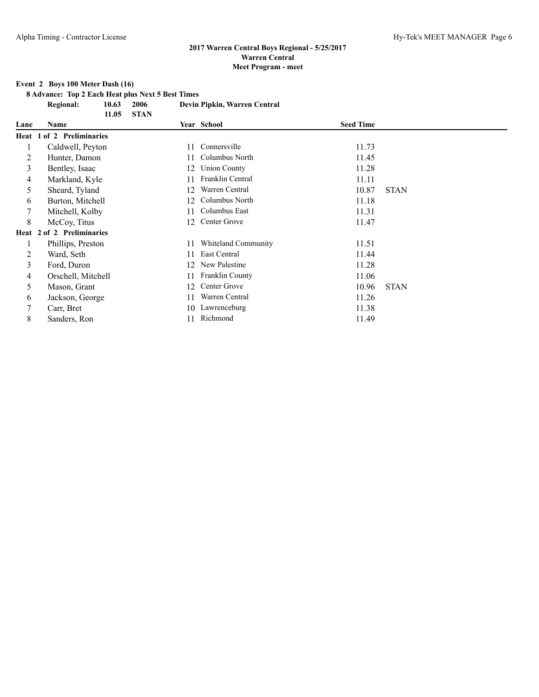### **Event 2 Boys 100 Meter Dash (16)**

**8 Advance: Top 2 Each Heat plus Next 5 Best Times**

**Regional: 10.63 2006 Devin Pipkin, Warren Central 11.05 STAN**

|      | 11.VJ                     | <b>DIAI</b> |                        |                  |             |
|------|---------------------------|-------------|------------------------|------------------|-------------|
| Lane | Name                      |             | Year School            | <b>Seed Time</b> |             |
|      | Heat 1 of 2 Preliminaries |             |                        |                  |             |
|      | Caldwell, Peyton          | 11          | Connersville           | 11.73            |             |
| 2    | Hunter, Damon             | 11          | Columbus North         | 11.45            |             |
| 3    | Bentley, Isaac            | 12          | <b>Union County</b>    | 11.28            |             |
| 4    | Markland, Kyle            |             | Franklin Central       | 11.11            |             |
| 5    | Sheard, Tyland            | 12          | Warren Central         | 10.87            | <b>STAN</b> |
| 6    | Burton, Mitchell          | 12.         | Columbus North         | 11.18            |             |
| 7    | Mitchell, Kolby           | 11          | Columbus East          | 11.31            |             |
| 8    | McCoy, Titus              | 12          | Center Grove           | 11.47            |             |
|      | Heat 2 of 2 Preliminaries |             |                        |                  |             |
|      | Phillips, Preston         | 11          | Whiteland Community    | 11.51            |             |
| 2    | Ward, Seth                | 11          | East Central           | 11.44            |             |
| 3    | Ford, Duron               | 12          | New Palestine          | 11.28            |             |
| 4    | Orschell, Mitchell        | 11          | <b>Franklin County</b> | 11.06            |             |
| 5    | Mason, Grant              | 12          | Center Grove           | 10.96            | <b>STAN</b> |
| 6    | Jackson, George           | 11          | Warren Central         | 11.26            |             |
| 7    | Carr, Bret                | 10          | Lawrenceburg           | 11.38            |             |
| 8    | Sanders, Ron              | 11          | Richmond               | 11.49            |             |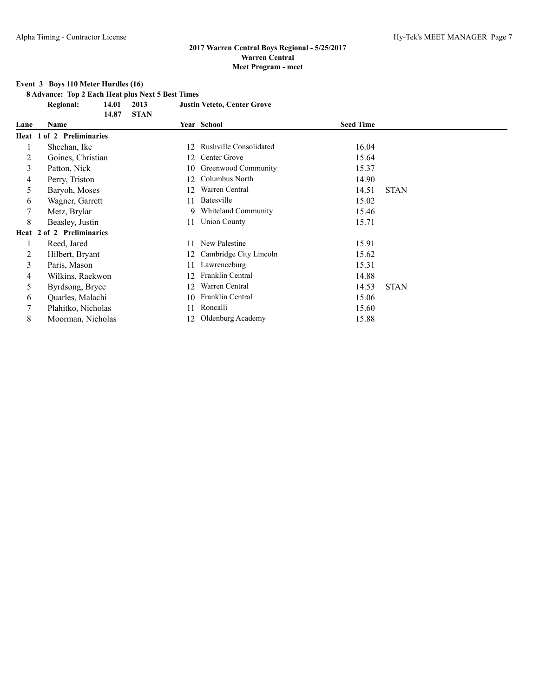### **Event 3 Boys 110 Meter Hurdles (16)**

**8 Advance: Top 2 Each Heat plus Next 5 Best Times**

**Regional: 14.01 2013 Justin Veteto, Center Grove 14.87 STAN**

|      | 14.87<br>51AN             |     |                               |                  |             |
|------|---------------------------|-----|-------------------------------|------------------|-------------|
| Lane | Name                      |     | Year School                   | <b>Seed Time</b> |             |
|      | Heat 1 of 2 Preliminaries |     |                               |                  |             |
|      | Sheehan, Ike              | 12. | <b>Rushville Consolidated</b> | 16.04            |             |
| 2    | Goines, Christian         | 12. | Center Grove                  | 15.64            |             |
| 3    | Patton, Nick              | 10  | Greenwood Community           | 15.37            |             |
| 4    | Perry, Triston            | 12  | Columbus North                | 14.90            |             |
| 5    | Baryoh, Moses             | 12  | Warren Central                | 14.51            | <b>STAN</b> |
| 6    | Wagner, Garrett           | 11  | <b>Batesville</b>             | 15.02            |             |
| 7    | Metz, Brylar              | 9   | Whiteland Community           | 15.46            |             |
| 8    | Beasley, Justin           | 11  | <b>Union County</b>           | 15.71            |             |
|      | Heat 2 of 2 Preliminaries |     |                               |                  |             |
|      | Reed, Jared               | 11  | New Palestine                 | 15.91            |             |
| 2    | Hilbert, Bryant           | 12  | Cambridge City Lincoln        | 15.62            |             |
| 3    | Paris, Mason              | 11  | Lawrenceburg                  | 15.31            |             |
| 4    | Wilkins, Raekwon          | 12  | Franklin Central              | 14.88            |             |
| 5    | Byrdsong, Bryce           | 12  | Warren Central                | 14.53            | <b>STAN</b> |
| 6    | Quarles, Malachi          | 10  | Franklin Central              | 15.06            |             |
|      | Plahitko, Nicholas        | 11  | Roncalli                      | 15.60            |             |
| 8    | Moorman, Nicholas         |     | 12 Oldenburg Academy          | 15.88            |             |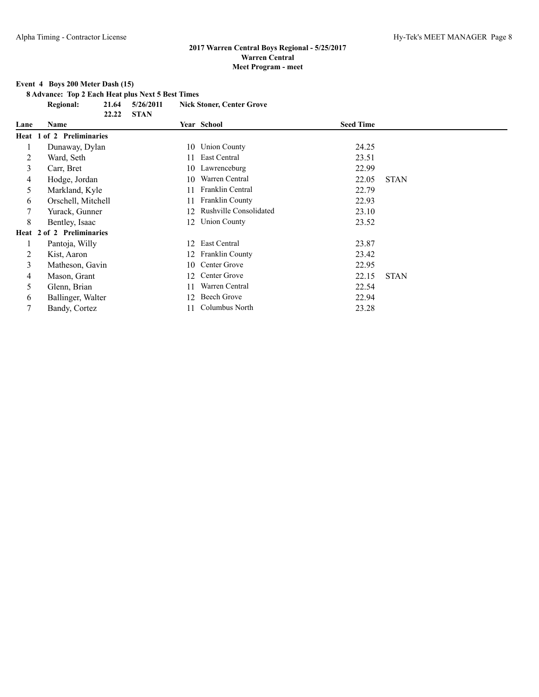### **Event 4 Boys 200 Meter Dash (15)**

**8 Advance: Top 2 Each Heat plus Next 5 Best Times**

**Regional: 21.64 5/26/2011 Nick Stoner, Center Grove**

|      | 22.22                     | <b>STAN</b> |                               |                  |             |
|------|---------------------------|-------------|-------------------------------|------------------|-------------|
| Lane | Name                      |             | Year School                   | <b>Seed Time</b> |             |
|      | Heat 1 of 2 Preliminaries |             |                               |                  |             |
|      | Dunaway, Dylan            |             | 10 Union County               | 24.25            |             |
| 2    | Ward, Seth                | 11.         | East Central                  | 23.51            |             |
| 3    | Carr, Bret                | 10          | Lawrenceburg                  | 22.99            |             |
| 4    | Hodge, Jordan             | 10          | Warren Central                | 22.05            | <b>STAN</b> |
| 5    | Markland, Kyle            | 11.         | Franklin Central              | 22.79            |             |
| 6    | Orschell, Mitchell        | 11          | <b>Franklin County</b>        | 22.93            |             |
|      | Yurack, Gunner            | 12          | <b>Rushville Consolidated</b> | 23.10            |             |
| 8    | Bentley, Isaac            | 12          | <b>Union County</b>           | 23.52            |             |
|      | Heat 2 of 2 Preliminaries |             |                               |                  |             |
|      | Pantoja, Willy            | 12          | East Central                  | 23.87            |             |
| 2    | Kist, Aaron               | 12          | <b>Franklin County</b>        | 23.42            |             |
| 3    | Matheson, Gavin           | 10          | Center Grove                  | 22.95            |             |
| 4    | Mason, Grant              | 12          | Center Grove                  | 22.15            | <b>STAN</b> |
| 5    | Glenn, Brian              | 11          | Warren Central                | 22.54            |             |
| 6    | Ballinger, Walter         | 12          | Beech Grove                   | 22.94            |             |
| 7    | Bandy, Cortez             | 11          | Columbus North                | 23.28            |             |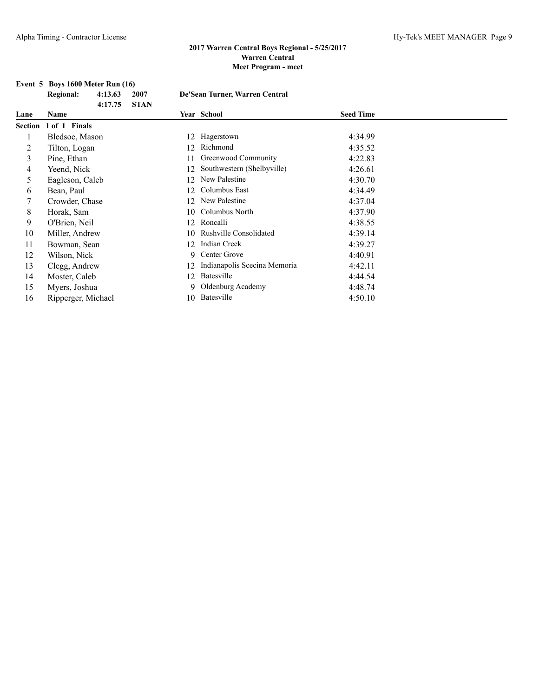# **Event 5 Boys 1600 Meter Run (16)**<br>Regional: 4:13.63 2007

|                | <b>Regional:</b>   | 4:13.63<br>4:17.75 | 2007<br><b>STAN</b> |    | De'Sean Turner, Warren Central |                  |  |
|----------------|--------------------|--------------------|---------------------|----|--------------------------------|------------------|--|
| Lane           | Name               |                    |                     |    | Year School                    | <b>Seed Time</b> |  |
| <b>Section</b> | 1 of 1 Finals      |                    |                     |    |                                |                  |  |
|                | Bledsoe, Mason     |                    |                     | 12 | Hagerstown                     | 4:34.99          |  |
| 2              | Tilton, Logan      |                    |                     | 12 | Richmond                       | 4:35.52          |  |
| 3              | Pine, Ethan        |                    |                     | 11 | Greenwood Community            | 4:22.83          |  |
| 4              | Yeend, Nick        |                    |                     | 12 | Southwestern (Shelbyville)     | 4:26.61          |  |
| 5              | Eagleson, Caleb    |                    |                     | 12 | New Palestine                  | 4:30.70          |  |
| 6              | Bean, Paul         |                    |                     | 12 | Columbus East                  | 4:34.49          |  |
| 7              | Crowder, Chase     |                    |                     | 12 | New Palestine                  | 4:37.04          |  |
| 8              | Horak, Sam         |                    |                     | 10 | Columbus North                 | 4:37.90          |  |
| 9              | O'Brien, Neil      |                    |                     | 12 | Roncalli                       | 4:38.55          |  |
| 10             | Miller, Andrew     |                    |                     | 10 | <b>Rushville Consolidated</b>  | 4:39.14          |  |
| 11             | Bowman, Sean       |                    |                     | 12 | <b>Indian Creek</b>            | 4:39.27          |  |
| 12             | Wilson, Nick       |                    |                     | 9  | Center Grove                   | 4:40.91          |  |
| 13             | Clegg, Andrew      |                    |                     | 12 | Indianapolis Scecina Memoria   | 4:42.11          |  |
| 14             | Moster, Caleb      |                    |                     | 12 | Batesville                     | 4:44.54          |  |
| 15             | Myers, Joshua      |                    |                     | 9  | Oldenburg Academy              | 4:48.74          |  |
| 16             | Ripperger, Michael |                    |                     | 10 | Batesville                     | 4:50.10          |  |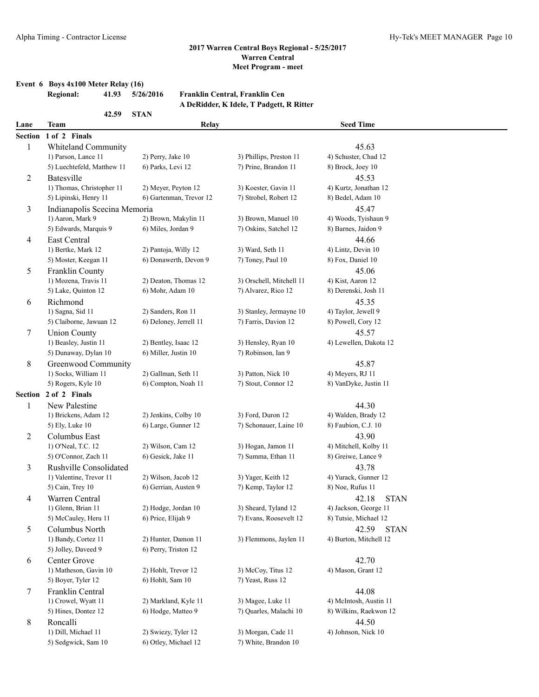### **Event 6 Boys 4x100 Meter Relay (16) Regional: 41.93**

**42.59 STAN**

| .<br>5/26/2016 | Franklin Central, Franklin Cen           |
|----------------|------------------------------------------|
|                | A DeRidder, K Idele, T Padgett, R Ritter |
| <b>STAN</b>    |                                          |

| Lane           | <b>Team</b>                  | Relay                   |                          | <b>Seed Time</b>             |  |
|----------------|------------------------------|-------------------------|--------------------------|------------------------------|--|
|                | Section 1 of 2 Finals        |                         |                          |                              |  |
| 1              | <b>Whiteland Community</b>   |                         |                          | 45.63                        |  |
|                | 1) Parson, Lance 11          | 2) Perry, Jake 10       | 3) Phillips, Preston 11  | 4) Schuster, Chad 12         |  |
|                | 5) Luechtefeld, Matthew 11   | 6) Parks, Levi 12       | 7) Prine, Brandon 11     | 8) Brock, Joey 10            |  |
| $\overline{c}$ | Batesville                   |                         |                          | 45.53                        |  |
|                | 1) Thomas, Christopher 11    | 2) Meyer, Peyton 12     | 3) Koester, Gavin 11     | 4) Kurtz, Jonathan 12        |  |
|                | 5) Lipinski, Henry 11        | 6) Gartenman, Trevor 12 | 7) Strobel, Robert 12    | 8) Bedel, Adam 10            |  |
| 3              | Indianapolis Scecina Memoria |                         |                          | 45.47                        |  |
|                | 1) Aaron, Mark 9             | 2) Brown, Makylin 11    | 3) Brown, Manuel 10      | 4) Woods, Tyishaun 9         |  |
|                | 5) Edwards, Marquis 9        | 6) Miles, Jordan 9      | 7) Oskins, Satchel 12    | 8) Barnes, Jaidon 9          |  |
| $\overline{4}$ | East Central                 |                         |                          | 44.66                        |  |
|                | 1) Bertke, Mark 12           | 2) Pantoja, Willy 12    | 3) Ward, Seth 11         | 4) Lintz, Devin 10           |  |
|                | 5) Moster, Keegan 11         | 6) Donawerth, Devon 9   | 7) Toney, Paul 10        | 8) Fox, Daniel 10            |  |
| 5              | Franklin County              |                         |                          | 45.06                        |  |
|                | 1) Mozena, Travis 11         | 2) Deaton, Thomas 12    | 3) Orschell, Mitchell 11 | 4) Kist, Aaron 12            |  |
|                | 5) Lake, Quinton 12          | 6) Mohr, Adam 10        | 7) Alvarez, Rico 12      | 8) Derenski, Josh 11         |  |
|                |                              |                         |                          |                              |  |
| 6              | Richmond<br>1) Sagna, Sid 11 | 2) Sanders, Ron 11      | 3) Stanley, Jermayne 10  | 45.35<br>4) Taylor, Jewell 9 |  |
|                | 5) Claiborne, Jawuan 12      | 6) Deloney, Jerrell 11  | 7) Farris, Davion 12     |                              |  |
|                |                              |                         |                          | 8) Powell, Cory 12           |  |
| 7              | <b>Union County</b>          |                         |                          | 45.57                        |  |
|                | 1) Beasley, Justin 11        | 2) Bentley, Isaac 12    | 3) Hensley, Ryan 10      | 4) Lewellen, Dakota 12       |  |
|                | 5) Dunaway, Dylan 10         | 6) Miller, Justin 10    | 7) Robinson, Ian 9       |                              |  |
| 8              | Greenwood Community          |                         |                          | 45.87                        |  |
|                | 1) Socks, William 11         | 2) Gallman, Seth 11     | 3) Patton, Nick 10       | 4) Meyers, RJ 11             |  |
|                | 5) Rogers, Kyle 10           | 6) Compton, Noah 11     | 7) Stout, Connor 12      | 8) VanDyke, Justin 11        |  |
|                | Section 2 of 2 Finals        |                         |                          |                              |  |
| 1              | New Palestine                |                         |                          | 44.30                        |  |
|                | 1) Brickens, Adam 12         | 2) Jenkins, Colby 10    | 3) Ford, Duron 12        | 4) Walden, Brady 12          |  |
|                | 5) Ely, Luke 10              | 6) Large, Gunner 12     | 7) Schonauer, Laine 10   | 8) Faubion, C.J. 10          |  |
| $\overline{c}$ | Columbus East                |                         |                          | 43.90                        |  |
|                | 1) O'Neal, T.C. 12           | 2) Wilson, Cam 12       | 3) Hogan, Jamon 11       | 4) Mitchell, Kolby 11        |  |
|                | 5) O'Connor, Zach 11         | 6) Gesick, Jake 11      | 7) Summa, Ethan 11       | 8) Greiwe, Lance 9           |  |
| 3              | Rushville Consolidated       |                         |                          | 43.78                        |  |
|                | 1) Valentine, Trevor 11      | 2) Wilson, Jacob 12     | 3) Yager, Keith 12       | 4) Yurack, Gunner 12         |  |
|                | 5) Cain, Trey 10             | 6) Gerrian, Austen 9    | 7) Kemp, Taylor 12       | 8) Noe, Rufus 11             |  |
| 4              | Warren Central               |                         |                          | <b>STAN</b><br>42.18         |  |
|                | 1) Glenn, Brian 11           | 2) Hodge, Jordan 10     | 3) Sheard, Tyland 12     | 4) Jackson, George 11        |  |
|                | 5) McCauley, Heru 11         | 6) Price, Elijah 9      | 7) Evans, Roosevelt 12   | 8) Tutsie, Michael 12        |  |
| 5              | Columbus North               |                         |                          | 42.59<br><b>STAN</b>         |  |
|                | 1) Bandy, Cortez 11          | 2) Hunter, Damon 11     | 3) Flemmons, Jaylen 11   | 4) Burton, Mitchell 12       |  |
|                | 5) Jolley, Daveed 9          | 6) Perry, Triston 12    |                          |                              |  |
| 6              | Center Grove                 |                         |                          | 42.70                        |  |
|                | 1) Matheson, Gavin 10        | 2) Hohlt, Trevor 12     | 3) McCoy, Titus 12       | 4) Mason, Grant 12           |  |
|                | 5) Boyer, Tyler 12           | 6) Hohlt, Sam 10        | 7) Yeast, Russ 12        |                              |  |
| $\tau$         | Franklin Central             |                         |                          | 44.08                        |  |
|                | 1) Crowel, Wyatt 11          | 2) Markland, Kyle 11    | 3) Magee, Luke 11        | 4) McIntosh, Austin 11       |  |
|                | 5) Hines, Dontez 12          | 6) Hodge, Matteo 9      | 7) Quarles, Malachi 10   | 8) Wilkins, Raekwon 12       |  |
| 8              | Roncalli                     |                         |                          | 44.50                        |  |
|                | 1) Dill, Michael 11          | 2) Swiezy, Tyler 12     | 3) Morgan, Cade 11       | 4) Johnson, Nick 10          |  |
|                | 5) Sedgwick, Sam 10          | 6) Otley, Michael 12    | 7) White, Brandon 10     |                              |  |
|                |                              |                         |                          |                              |  |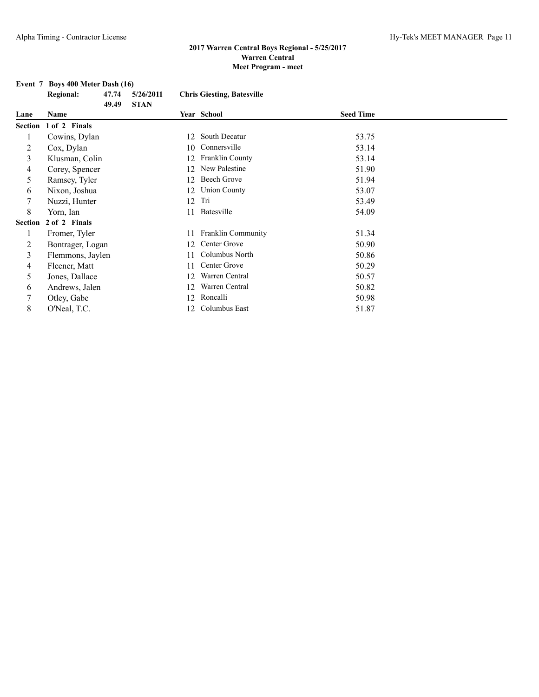# **Event 7 Boys 400 Meter Dash (16)**<br>Regional: 47.74 5/26/2011

|         | <b>Regional:</b>      | 47.74 | 5/26/2011   |     | <b>Chris Giesting, Batesville</b> |                  |  |
|---------|-----------------------|-------|-------------|-----|-----------------------------------|------------------|--|
| Lane    | Name                  | 49.49 | <b>STAN</b> |     | Year School                       | <b>Seed Time</b> |  |
|         | Section 1 of 2 Finals |       |             |     |                                   |                  |  |
|         | Cowins, Dylan         |       |             | 12  | South Decatur                     | 53.75            |  |
| 2       | Cox, Dylan            |       |             | 10  | Connersville                      | 53.14            |  |
| 3       | Klusman, Colin        |       |             | 12  | <b>Franklin County</b>            | 53.14            |  |
| 4       | Corey, Spencer        |       |             | 12  | New Palestine                     | 51.90            |  |
| 5       | Ramsey, Tyler         |       |             | 12  | Beech Grove                       | 51.94            |  |
| 6       | Nixon, Joshua         |       |             | 12  | <b>Union County</b>               | 53.07            |  |
| 7       | Nuzzi, Hunter         |       |             | 12  | Tri                               | 53.49            |  |
| 8       | Yorn, Ian             |       |             | 11  | Batesville                        | 54.09            |  |
| Section | 2 of 2 Finals         |       |             |     |                                   |                  |  |
|         | Fromer, Tyler         |       |             | 11  | Franklin Community                | 51.34            |  |
| 2       | Bontrager, Logan      |       |             | 12  | Center Grove                      | 50.90            |  |
| 3       | Flemmons, Jaylen      |       |             | 11  | Columbus North                    | 50.86            |  |
| 4       | Fleener, Matt         |       |             | 11  | Center Grove                      | 50.29            |  |
| 5       | Jones, Dallace        |       |             | 12  | Warren Central                    | 50.57            |  |
| 6       | Andrews, Jalen        |       |             | 12  | Warren Central                    | 50.82            |  |
| 7       | Otley, Gabe           |       |             | 12  | Roncalli                          | 50.98            |  |
| 8       | O'Neal, T.C.          |       |             | 12. | Columbus East                     | 51.87            |  |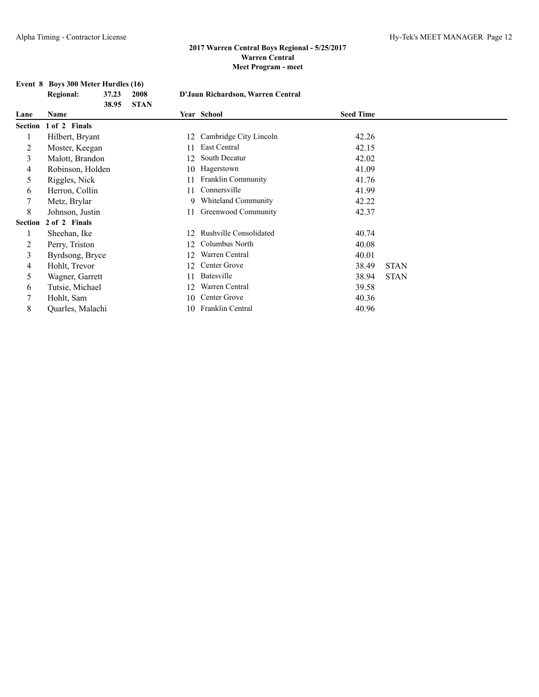# **Event 8 Boys 300 Meter Hurdles (16)**<br>Regional: 37.23 2008

|         | <b>Regional:</b>      | 37.23<br>38.95 | 2008<br><b>STAN</b> | D'Jaun Richardson, Warren Central |                               |                  |             |
|---------|-----------------------|----------------|---------------------|-----------------------------------|-------------------------------|------------------|-------------|
| Lane    | <b>Name</b>           |                |                     |                                   | Year School                   | <b>Seed Time</b> |             |
|         | Section 1 of 2 Finals |                |                     |                                   |                               |                  |             |
|         | Hilbert, Bryant       |                |                     | 12                                | Cambridge City Lincoln        | 42.26            |             |
| 2       | Moster, Keegan        |                |                     | 11                                | East Central                  | 42.15            |             |
| 3       | Malott, Brandon       |                |                     | 12                                | South Decatur                 | 42.02            |             |
| 4       | Robinson, Holden      |                |                     | 10                                | Hagerstown                    | 41.09            |             |
| 5       | Riggles, Nick         |                |                     | 11                                | <b>Franklin Community</b>     | 41.76            |             |
| 6       | Herron, Collin        |                |                     | 11                                | Connersville                  | 41.99            |             |
|         | Metz, Brylar          |                |                     | 9.                                | Whiteland Community           | 42.22            |             |
| 8       | Johnson, Justin       |                |                     | 11                                | Greenwood Community           | 42.37            |             |
| Section | 2 of 2 Finals         |                |                     |                                   |                               |                  |             |
|         | Sheehan, Ike          |                |                     | 12                                | <b>Rushville Consolidated</b> | 40.74            |             |
| 2       | Perry, Triston        |                |                     | 12                                | Columbus North                | 40.08            |             |
| 3       | Byrdsong, Bryce       |                |                     | 12                                | Warren Central                | 40.01            |             |
| 4       | Hohlt, Trevor         |                |                     | 12                                | Center Grove                  | 38.49            | <b>STAN</b> |
| 5       | Wagner, Garrett       |                |                     | 11                                | Batesville                    | 38.94            | <b>STAN</b> |
| 6       | Tutsie, Michael       |                |                     | 12                                | Warren Central                | 39.58            |             |
|         | Hohlt, Sam            |                |                     | 10                                | Center Grove                  | 40.36            |             |
| 8       | Quarles, Malachi      |                |                     | 10                                | Franklin Central              | 40.96            |             |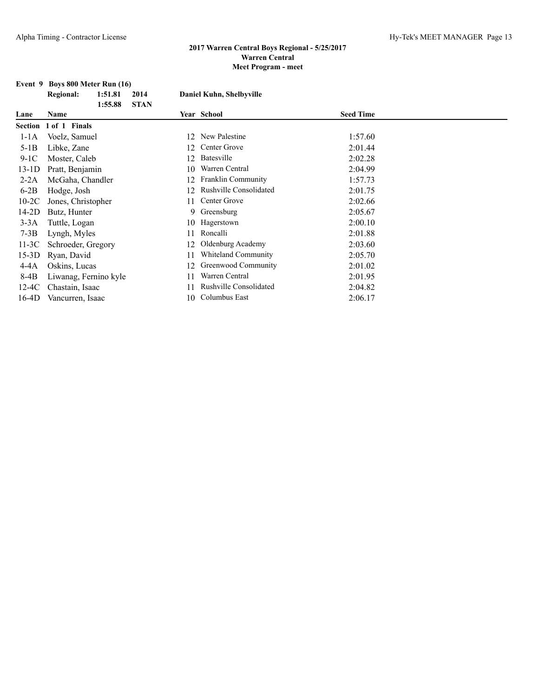#### **Event 9 Boys 800 Meter Run (16)**

|         | <b>Regional:</b>      | 1:51.81 | 2014        |    | Daniel Kuhn, Shelbyville      |                  |
|---------|-----------------------|---------|-------------|----|-------------------------------|------------------|
|         |                       | 1:55.88 | <b>STAN</b> |    |                               |                  |
| Lane    | Name                  |         |             |    | Year School                   | <b>Seed Time</b> |
|         | Section 1 of 1 Finals |         |             |    |                               |                  |
| $1-1A$  | Voelz, Samuel         |         |             | 12 | New Palestine                 | 1:57.60          |
| $5-1B$  | Libke, Zane           |         |             | 12 | Center Grove                  | 2:01.44          |
| $9-1C$  | Moster, Caleb         |         |             | 12 | Batesville                    | 2:02.28          |
| $13-1D$ | Pratt, Benjamin       |         |             | 10 | Warren Central                | 2:04.99          |
| $2-2A$  | McGaha, Chandler      |         |             | 12 | <b>Franklin Community</b>     | 1:57.73          |
| $6-2B$  | Hodge, Josh           |         |             | 12 | <b>Rushville Consolidated</b> | 2:01.75          |
| $10-2C$ | Jones, Christopher    |         |             | 11 | Center Grove                  | 2:02.66          |
| 14-2D   | Butz, Hunter          |         |             | 9. | Greensburg                    | 2:05.67          |
| $3-3A$  | Tuttle, Logan         |         |             | 10 | Hagerstown                    | 2:00.10          |
| $7-3B$  | Lyngh, Myles          |         |             | 11 | Roncalli                      | 2:01.88          |
| $11-3C$ | Schroeder, Gregory    |         |             | 12 | Oldenburg Academy             | 2:03.60          |
| $15-3D$ | Ryan, David           |         |             | 11 | <b>Whiteland Community</b>    | 2:05.70          |
| $4-4A$  | Oskins, Lucas         |         |             | 12 | Greenwood Community           | 2:01.02          |
| 8-4B    | Liwanag, Fernino kyle |         |             | 11 | Warren Central                | 2:01.95          |
| 12-4C   | Chastain, Isaac       |         |             | 11 | <b>Rushville Consolidated</b> | 2:04.82          |
| $16-4D$ | Vancurren, Isaac      |         |             | 10 | Columbus East                 | 2:06.17          |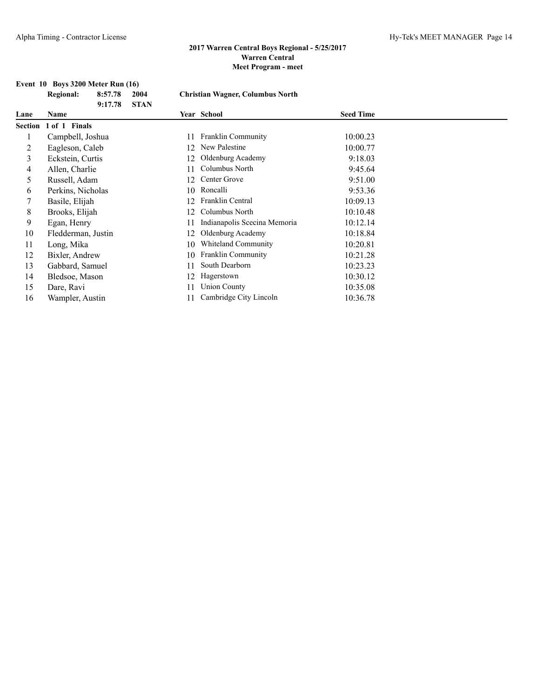# **Event 10 Boys 3200 Meter Run (16)**<br>Regional: 8:57.78 2004

|         | <b>Regional:</b>   | 8:57.78<br>9:17.78 | 2004<br><b>STAN</b> | <b>Christian Wagner, Columbus North</b> |                              |                  |  |
|---------|--------------------|--------------------|---------------------|-----------------------------------------|------------------------------|------------------|--|
| Lane    | Name               |                    |                     |                                         | Year School                  | <b>Seed Time</b> |  |
| Section | 1 of 1 Finals      |                    |                     |                                         |                              |                  |  |
|         | Campbell, Joshua   |                    |                     | 11                                      | <b>Franklin Community</b>    | 10:00.23         |  |
| 2       | Eagleson, Caleb    |                    |                     | 12                                      | New Palestine                | 10:00.77         |  |
| 3       | Eckstein, Curtis   |                    |                     | 12                                      | Oldenburg Academy            | 9:18.03          |  |
| 4       | Allen, Charlie     |                    |                     | 11                                      | Columbus North               | 9:45.64          |  |
| 5       | Russell, Adam      |                    |                     | 12                                      | Center Grove                 | 9:51.00          |  |
| 6       | Perkins, Nicholas  |                    |                     | 10                                      | Roncalli                     | 9:53.36          |  |
|         | Basile, Elijah     |                    |                     | 12                                      | Franklin Central             | 10:09.13         |  |
| 8       | Brooks, Elijah     |                    |                     | 12                                      | Columbus North               | 10:10.48         |  |
| 9       | Egan, Henry        |                    |                     | 11                                      | Indianapolis Scecina Memoria | 10:12.14         |  |
| 10      | Fledderman, Justin |                    |                     | 12                                      | Oldenburg Academy            | 10:18.84         |  |
| 11      | Long, Mika         |                    |                     | 10                                      | <b>Whiteland Community</b>   | 10:20.81         |  |
| 12      | Bixler, Andrew     |                    |                     | 10                                      | Franklin Community           | 10:21.28         |  |
| 13      | Gabbard, Samuel    |                    |                     | 11                                      | South Dearborn               | 10:23.23         |  |
| 14      | Bledsoe, Mason     |                    |                     | 12                                      | Hagerstown                   | 10:30.12         |  |
| 15      | Dare, Ravi         |                    |                     | 11                                      | <b>Union County</b>          | 10:35.08         |  |
| 16      | Wampler, Austin    |                    |                     | 11                                      | Cambridge City Lincoln       | 10:36.78         |  |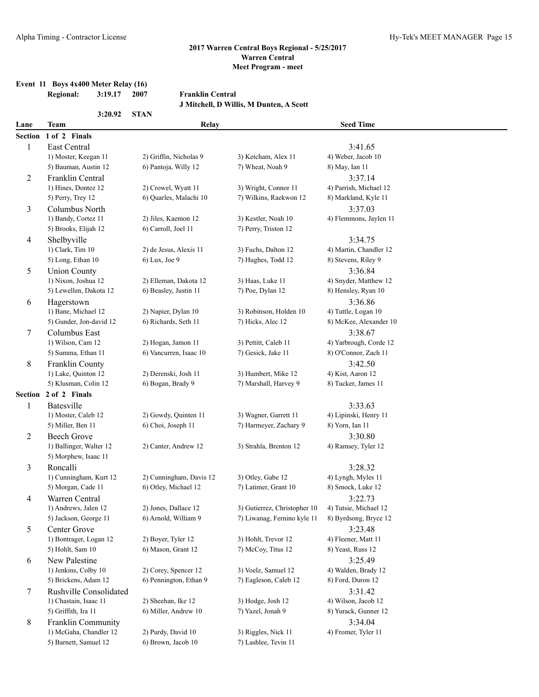### **Event 11 Boys 4x400 Meter Relay (16)**

**Regional: 3:19.17 2007 Franklin Central J Mitchell, D Willis, M Dunten, A Scott 3:20.92 STAN Lane Team Relay Seed Time Section 1 of 2 Finals** 1 East Central 3:41.65 1) Moster, Keegan 11 2) Griffin, Nicholas 9 3) Ketcham, Alex 11 4) Weber, Jacob 10 5) Bauman, Austin 12 6) Pantoja, Willy 12 7) Wheat, Noah 9 8) May, Ian 11 2 Franklin Central 3:37.14 1) Hines, Dontez 12 2) Crowel, Wyatt 11 3) Wright, Connor 11 4) Parrish, Michael 12 5) Perry, Trey 12 6) Quarles, Malachi 10 7) Wilkins, Raekwon 12 8) Markland, Kyle 11 3 Columbus North 3:37.03 1) Bandy, Cortez 11 2) Jiles, Kaemon 12 3) Kestler, Noah 10 4) Flemmons, Jaylen 11 5) Brooks, Elijah 12 6) Carroll, Joel 11 7) Perry, Triston 12 4 Shelbyville 3:34.75 1) Clark, Tim 10 2) de Jesus, Alexis 11 3) Fuchs, Dalton 12 4) Martin, Chandler 12 5) Long, Ethan 10 6) Lux, Joe 9 7) Hughes, Todd 12 8) Stevens, Riley 9 5 Union County 3:36.84 1) Nixon, Joshua 12 2) Elleman, Dakota 12 3) Haas, Luke 11 4) Snyder, Matthew 12 5) Lewellen, Dakota 12 6) Beasley, Justin 11 7) Poe, Dylan 12 8) Hensley, Ryan 10 6 Hagerstown 3:36.86 1) Bane, Michael 12 2) Napier, Dylan 10 3) Robinson, Holden 10 4) Tuttle, Logan 10 5) Gunder, Jon-david 12 6) Richards, Seth 11 7) Hicks, Alec 12 8) McKee, Alexander 10 7 Columbus East 3:38.67 1) Wilson, Cam 12 2) Hogan, Jamon 11 3) Pettitt, Caleb 11 4) Yarbrough, Corde 12 5) Summa, Ethan 11 6) Vancurren, Isaac 10 7) Gesick, Jake 11 8) O'Connor, Zach 11 8 Franklin County 3:42.50 1) Lake, Quinton 12 2) Derenski, Josh 11 3) Humbert, Mike 12 4) Kist, Aaron 12 5) Klusman, Colin 12 6) Bogan, Brady 9 7) Marshall, Harvey 9 8) Tucker, James 11 **Section 2 of 2 Finals** 1 Batesville 3:33.63 1) Moster, Caleb 12 2) Gowdy, Quinten 11 3) Wagner, Garrett 11 4) Lipinski, Henry 11 5) Miller, Ben 11 6) Choi, Joseph 11 7) Harmeyer, Zachary 9 8) Yorn, Ian 11 2 Beech Grove 3:30.80 1) Ballinger, Walter 12 2) Canter, Andrew 12 3) Strahla, Brenton 12 4) Ramsey, Tyler 12 5) Morphew, Isaac 11 3 Roncalli 3:28.32 1) Cunningham, Kurt 12 2) Cunningham, Davis 12 3) Otley, Gabe 12 4) Lyngh, Myles 11 5) Morgan, Cade 11 6) Otley, Michael 12 7) Latimer, Grant 10 8) Smock, Luke 12 4 Warren Central 3:22.73 1) Andrews, Jalen 12 2) Jones, Dallace 12 3) Gutierrez, Christopher 10 4) Tutsie, Michael 12 5) Jackson, George 11 6) Arnold, William 9 7) Liwanag, Fernino kyle 11 8) Byrdsong, Bryce 12 5 Center Grove 3:23.48 1) Bontrager, Logan 12 2) Boyer, Tyler 12 3) Hohlt, Trevor 12 4) Fleener, Matt 11 5) Hohlt, Sam 10 6) Mason, Grant 12 7) McCoy, Titus 12 8) Yeast, Russ 12 6 New Palestine 3:25.49 1) Jenkins, Colby 10 2) Corey, Spencer 12 3) Voelz, Samuel 12 4) Walden, Brady 12 5) Brickens, Adam 12 6) Pennington, Ethan 9 7) Eagleson, Caleb 12 8) Ford, Duron 12 7 Rushville Consolidated 3:31.42 1) Chastain, Isaac 11 2) Sheehan, Ike 12 3) Hodge, Josh 12 4) Wilson, Jacob 12 5) Griffith, Ira 11 6) Miller, Andrew 10 7) Yazel, Jonah 9 8) Yurack, Gunner 12 8 Franklin Community 3:34.04 1) McGaha, Chandler 12 2) Purdy, David 10 3) Riggles, Nick 11 4) Fromer, Tyler 11

5) Barnett, Samuel 12 6) Brown, Jacob 10 7) Lashlee, Tevin 11